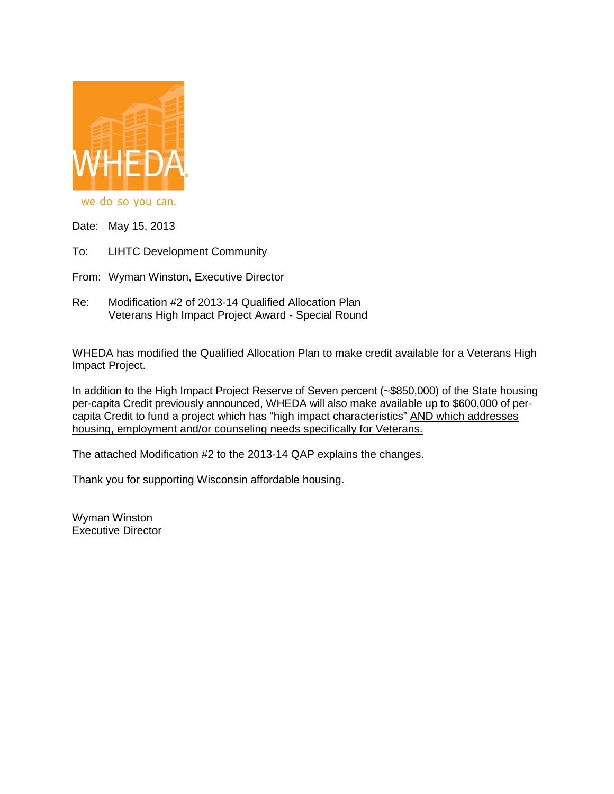

we do so you can.

Date: May 15, 2013

To: LIHTC Development Community

From: Wyman Winston, Executive Director

Re: Modification #2 of 2013-14 Qualified Allocation Plan Veterans High Impact Project Award - Special Round

WHEDA has modified the Qualified Allocation Plan to make credit available for a Veterans High Impact Project.

In addition to the High Impact Project Reserve of Seven percent (~\$850,000) of the State housing per-capita Credit previously announced, WHEDA will also make available up to \$600,000 of percapita Credit to fund a project which has "high impact characteristics" AND which addresses housing, employment and/or counseling needs specifically for Veterans.

The attached Modification #2 to the 2013-14 QAP explains the changes.

Thank you for supporting Wisconsin affordable housing.

Wyman Winston Executive Director